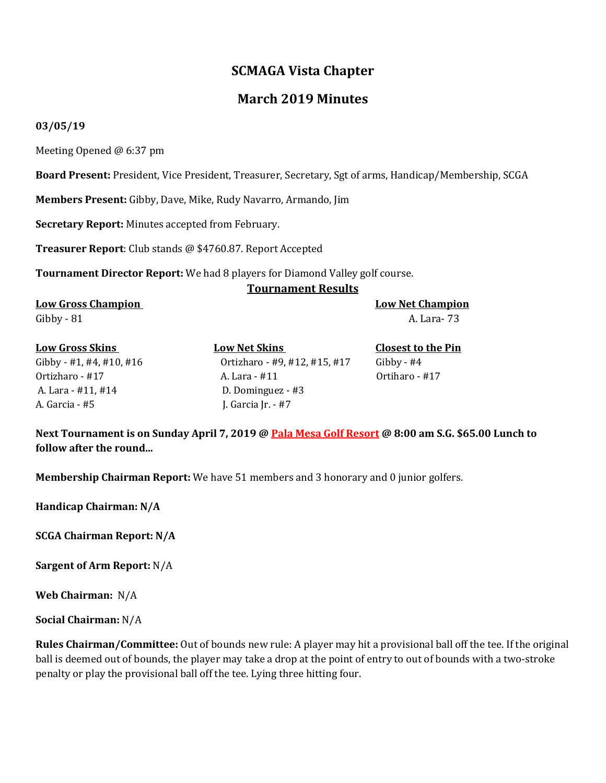## **SCMAGA Vista Chapter**

## **March 2019 Minutes**

#### **03/05/19**

Meeting Opened @ 6:37 pm

**Board Present:** President, Vice President, Treasurer, Secretary, Sgt of arms, Handicap/Membership, SCGA

**Members Present:** Gibby, Dave, Mike, Rudy Navarro, Armando, Jim

**Secretary Report:** Minutes accepted from February.

**Treasurer Report**: Club stands @ \$4760.87. Report Accepted

**Tournament Director Report:** We had 8 players for Diamond Valley golf course.

#### **Tournament Results**

**Low Gross Champion Low Net Champion** Gibby - 81 A. Lara- 73

# A. Lara - #11, #14 D. Dominguez - #3 A. Garcia - #5 J. Garcia Jr. - #7

**Low Gross Skins Low Net Skins Closest to the Pin**  Gibby - #1, #4, #10, #16 Ortizharo - #9, #12, #15, #17 Gibby - #4 Ortizharo - #17 A. Lara - #11 Ortiharo - #17

**Next Tournament is on Sunday April 7, 2019 @ Pala Mesa Golf Resort @ 8:00 am S.G. \$65.00 Lunch to follow after the round...**

**Membership Chairman Report:** We have 51 members and 3 honorary and 0 junior golfers.

**Handicap Chairman: N/A**

**SCGA Chairman Report: N/A**

**Sargent of Arm Report:** N/A

**Web Chairman:** N/A

**Social Chairman:** N/A

**Rules Chairman/Committee:** Out of bounds new rule: A player may hit a provisional ball off the tee. If the original ball is deemed out of bounds, the player may take a drop at the point of entry to out of bounds with a two-stroke penalty or play the provisional ball off the tee. Lying three hitting four.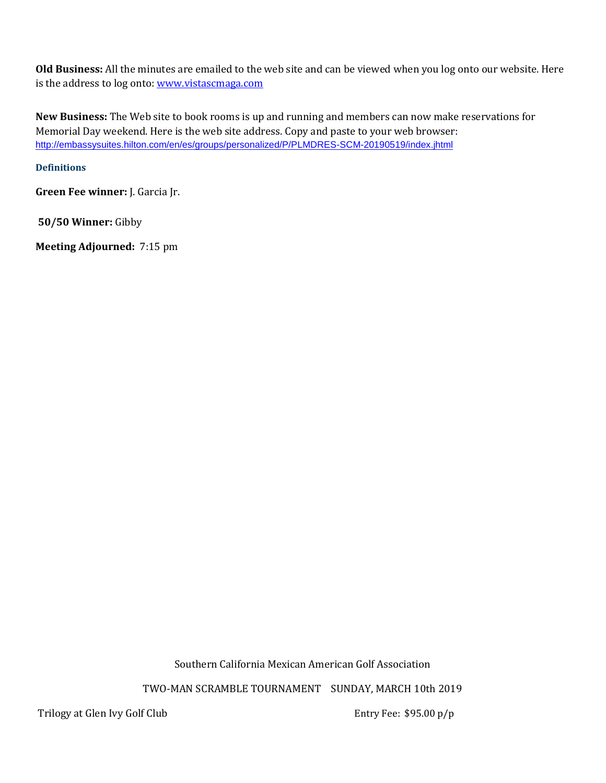**Old Business:** All the minutes are emailed to the web site and can be viewed when you log onto our website. Here is the address to log onto[: www.vistascmaga.com](http://www.vistascmaga.com/)

**New Business:** The Web site to book rooms is up and running and members can now make reservations for Memorial Day weekend. Here is the web site address. Copy and paste to your web browser: [http://embassysuites.hilton.com/en/es/groups/personalized/P/PLMDRES-SCM-20190519/index.jhtml](https://na01.safelinks.protection.outlook.com/?url=http%3A%2F%2Fembassysuites.hilton.com%2Fen%2Fes%2Fgroups%2Fpersonalized%2FP%2FPLMDRES-SCM-20190519%2Findex.jhtml&data=02%7C01%7Cerin.allison%40hilton.com%7C1964d8c1e5644a9f2d6408d68d0063a6%7C660292d2cfd54a3db7a7e8f7ee458a0a%7C0%7C0%7C636851430140526673&sdata=XOWv08Xi26znaQNjSWsP1hwC41M1P68wBhI61lKMS2s%3D&reserved=0)

### **[Definitions](http://www.usga.org/etc/designs/usga/content/rule-book/rule-book-2016/rule-14253.html)**

**Green Fee winner:** J. Garcia Jr.

**50/50 Winner:** Gibby

**Meeting Adjourned:** 7:15 pm

Southern California Mexican American Golf Association

TWO-MAN SCRAMBLE TOURNAMENT SUNDAY, MARCH 10th 2019

Trilogy at Glen Ivy Golf Club **Entry Fee:** \$95.00 p/p